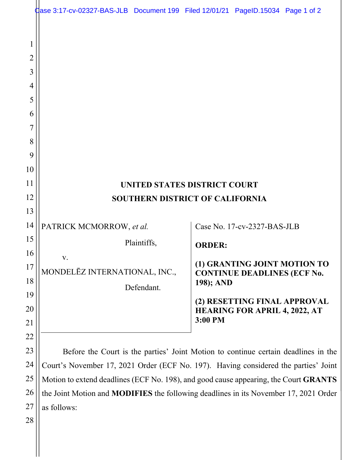|           | dase 3:17-cv-02327-BAS-JLB Document 199 Filed 12/01/21 PageID.15034 Page 1 of 2      |             |               |                                                                      |  |
|-----------|--------------------------------------------------------------------------------------|-------------|---------------|----------------------------------------------------------------------|--|
|           |                                                                                      |             |               |                                                                      |  |
|           |                                                                                      |             |               |                                                                      |  |
| 2         |                                                                                      |             |               |                                                                      |  |
| 3         |                                                                                      |             |               |                                                                      |  |
| 4         |                                                                                      |             |               |                                                                      |  |
| 5         |                                                                                      |             |               |                                                                      |  |
| 6         |                                                                                      |             |               |                                                                      |  |
| 7         |                                                                                      |             |               |                                                                      |  |
| 8         |                                                                                      |             |               |                                                                      |  |
| 9         |                                                                                      |             |               |                                                                      |  |
| 10        |                                                                                      |             |               |                                                                      |  |
| 11        | UNITED STATES DISTRICT COURT                                                         |             |               |                                                                      |  |
| 12<br>13  | <b>SOUTHERN DISTRICT OF CALIFORNIA</b>                                               |             |               |                                                                      |  |
| 14        |                                                                                      |             |               |                                                                      |  |
| 15        | PATRICK MCMORROW, et al.                                                             |             |               | Case No. 17-cv-2327-BAS-JLB                                          |  |
| 16        |                                                                                      | Plaintiffs, | <b>ORDER:</b> |                                                                      |  |
| 17        | V.                                                                                   |             |               | (1) GRANTING JOINT MOTION TO                                         |  |
| 18        | MONDELEZ INTERNATIONAL, INC.,                                                        |             | 198); AND     | <b>CONTINUE DEADLINES (ECF No.</b>                                   |  |
| 19        |                                                                                      | Defendant.  |               |                                                                      |  |
| <b>20</b> |                                                                                      |             |               | (2) RESETTING FINAL APPROVAL<br><b>HEARING FOR APRIL 4, 2022, AT</b> |  |
| 21        |                                                                                      |             | 3:00 PM       |                                                                      |  |
| 22        |                                                                                      |             |               |                                                                      |  |
| 23        | Before the Court is the parties' Joint Motion to continue certain deadlines in the   |             |               |                                                                      |  |
| 24        | Court's November 17, 2021 Order (ECF No. 197). Having considered the parties' Joint  |             |               |                                                                      |  |
| 25        | Motion to extend deadlines (ECF No. 198), and good cause appearing, the Court GRANTS |             |               |                                                                      |  |

26 27 Motion to extend deadlines (ECF No. 198), and good cause appearing, the Court **GRANTS** the Joint Motion and **MODIFIES** the following deadlines in its November 17, 2021 Order as follows:

28